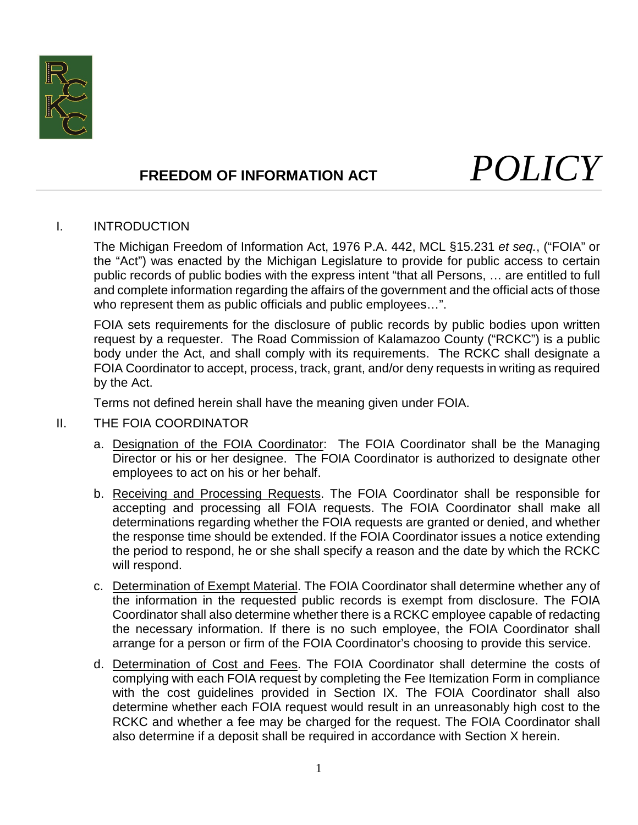

# **FREEDOM OF INFORMATION ACT** *POLICY*

# I. INTRODUCTION

The Michigan Freedom of Information Act, 1976 P.A. 442, MCL §15.231 *et seq.*, ("FOIA" or the "Act") was enacted by the Michigan Legislature to provide for public access to certain public records of public bodies with the express intent "that all Persons, … are entitled to full and complete information regarding the affairs of the government and the official acts of those who represent them as public officials and public employees…".

FOIA sets requirements for the disclosure of public records by public bodies upon written request by a requester. The Road Commission of Kalamazoo County ("RCKC") is a public body under the Act, and shall comply with its requirements. The RCKC shall designate a FOIA Coordinator to accept, process, track, grant, and/or deny requests in writing as required by the Act.

Terms not defined herein shall have the meaning given under FOIA.

- II. THE FOIA COORDINATOR
	- a. Designation of the FOIA Coordinator: The FOIA Coordinator shall be the Managing Director or his or her designee. The FOIA Coordinator is authorized to designate other employees to act on his or her behalf.
	- b. Receiving and Processing Requests. The FOIA Coordinator shall be responsible for accepting and processing all FOIA requests. The FOIA Coordinator shall make all determinations regarding whether the FOIA requests are granted or denied, and whether the response time should be extended. If the FOIA Coordinator issues a notice extending the period to respond, he or she shall specify a reason and the date by which the RCKC will respond.
	- c. Determination of Exempt Material. The FOIA Coordinator shall determine whether any of the information in the requested public records is exempt from disclosure. The FOIA Coordinator shall also determine whether there is a RCKC employee capable of redacting the necessary information. If there is no such employee, the FOIA Coordinator shall arrange for a person or firm of the FOIA Coordinator's choosing to provide this service.
	- d. Determination of Cost and Fees. The FOIA Coordinator shall determine the costs of complying with each FOIA request by completing the Fee Itemization Form in compliance with the cost guidelines provided in Section IX. The FOIA Coordinator shall also determine whether each FOIA request would result in an unreasonably high cost to the RCKC and whether a fee may be charged for the request. The FOIA Coordinator shall also determine if a deposit shall be required in accordance with Section X herein.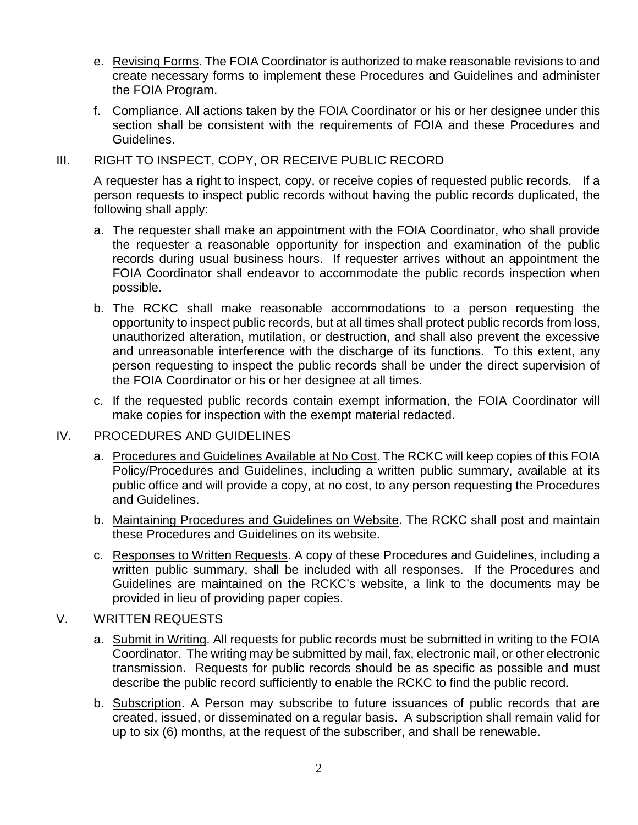- e. Revising Forms. The FOIA Coordinator is authorized to make reasonable revisions to and create necessary forms to implement these Procedures and Guidelines and administer the FOIA Program.
- f. Compliance. All actions taken by the FOIA Coordinator or his or her designee under this section shall be consistent with the requirements of FOIA and these Procedures and Guidelines.

# III. RIGHT TO INSPECT, COPY, OR RECEIVE PUBLIC RECORD

A requester has a right to inspect, copy, or receive copies of requested public records. If a person requests to inspect public records without having the public records duplicated, the following shall apply:

- a. The requester shall make an appointment with the FOIA Coordinator, who shall provide the requester a reasonable opportunity for inspection and examination of the public records during usual business hours. If requester arrives without an appointment the FOIA Coordinator shall endeavor to accommodate the public records inspection when possible.
- b. The RCKC shall make reasonable accommodations to a person requesting the opportunity to inspect public records, but at all times shall protect public records from loss, unauthorized alteration, mutilation, or destruction, and shall also prevent the excessive and unreasonable interference with the discharge of its functions. To this extent, any person requesting to inspect the public records shall be under the direct supervision of the FOIA Coordinator or his or her designee at all times.
- c. If the requested public records contain exempt information, the FOIA Coordinator will make copies for inspection with the exempt material redacted.

# IV. PROCEDURES AND GUIDELINES

- a. Procedures and Guidelines Available at No Cost. The RCKC will keep copies of this FOIA Policy/Procedures and Guidelines, including a written public summary, available at its public office and will provide a copy, at no cost, to any person requesting the Procedures and Guidelines.
- b. Maintaining Procedures and Guidelines on Website. The RCKC shall post and maintain these Procedures and Guidelines on its website.
- c. Responses to Written Requests. A copy of these Procedures and Guidelines, including a written public summary, shall be included with all responses. If the Procedures and Guidelines are maintained on the RCKC's website, a link to the documents may be provided in lieu of providing paper copies.

# V. WRITTEN REQUESTS

- a. Submit in Writing. All requests for public records must be submitted in writing to the FOIA Coordinator. The writing may be submitted by mail, fax, electronic mail, or other electronic transmission. Requests for public records should be as specific as possible and must describe the public record sufficiently to enable the RCKC to find the public record.
- b. Subscription. A Person may subscribe to future issuances of public records that are created, issued, or disseminated on a regular basis. A subscription shall remain valid for up to six (6) months, at the request of the subscriber, and shall be renewable.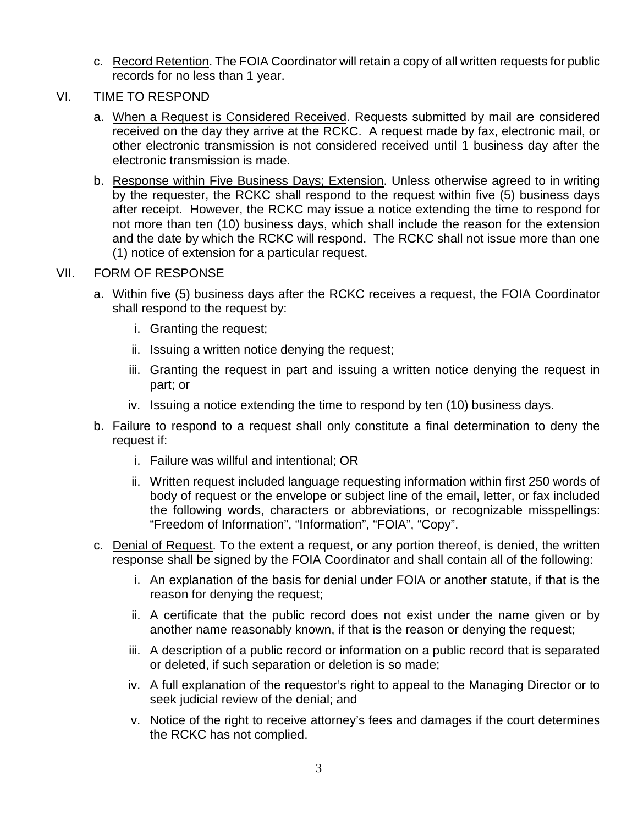- c. Record Retention. The FOIA Coordinator will retain a copy of all written requests for public records for no less than 1 year.
- VI. TIME TO RESPOND
	- a. When a Request is Considered Received. Requests submitted by mail are considered received on the day they arrive at the RCKC. A request made by fax, electronic mail, or other electronic transmission is not considered received until 1 business day after the electronic transmission is made.
	- b. Response within Five Business Days; Extension. Unless otherwise agreed to in writing by the requester, the RCKC shall respond to the request within five (5) business days after receipt. However, the RCKC may issue a notice extending the time to respond for not more than ten (10) business days, which shall include the reason for the extension and the date by which the RCKC will respond. The RCKC shall not issue more than one (1) notice of extension for a particular request.

# VII. FORM OF RESPONSE

- a. Within five (5) business days after the RCKC receives a request, the FOIA Coordinator shall respond to the request by:
	- i. Granting the request;
	- ii. Issuing a written notice denying the request;
	- iii. Granting the request in part and issuing a written notice denying the request in part; or
	- iv. Issuing a notice extending the time to respond by ten (10) business days.
- b. Failure to respond to a request shall only constitute a final determination to deny the request if:
	- i. Failure was willful and intentional; OR
	- ii. Written request included language requesting information within first 250 words of body of request or the envelope or subject line of the email, letter, or fax included the following words, characters or abbreviations, or recognizable misspellings: "Freedom of Information", "Information", "FOIA", "Copy".
- c. Denial of Request. To the extent a request, or any portion thereof, is denied, the written response shall be signed by the FOIA Coordinator and shall contain all of the following:
	- i. An explanation of the basis for denial under FOIA or another statute, if that is the reason for denying the request;
	- ii. A certificate that the public record does not exist under the name given or by another name reasonably known, if that is the reason or denying the request;
	- iii. A description of a public record or information on a public record that is separated or deleted, if such separation or deletion is so made;
	- iv. A full explanation of the requestor's right to appeal to the Managing Director or to seek judicial review of the denial; and
	- v. Notice of the right to receive attorney's fees and damages if the court determines the RCKC has not complied.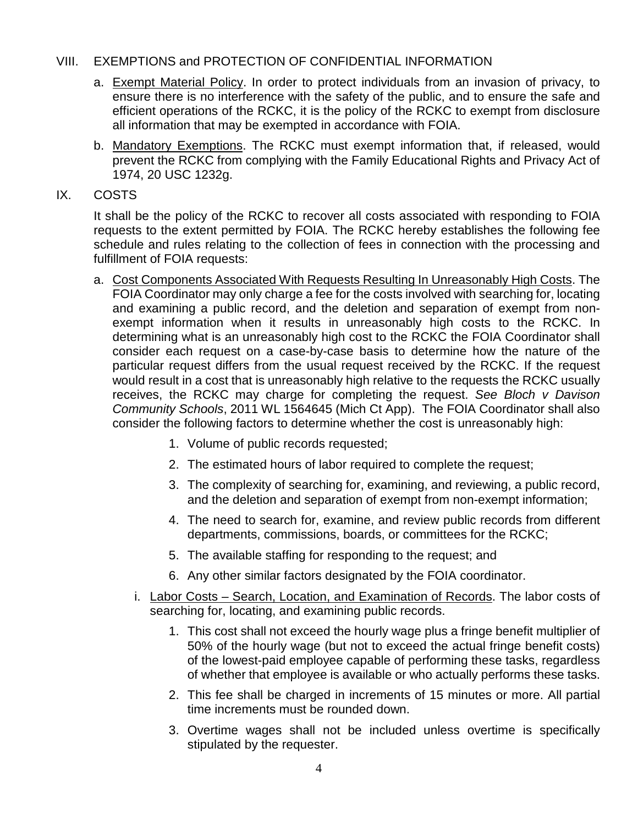# VIII. EXEMPTIONS and PROTECTION OF CONFIDENTIAL INFORMATION

- a. Exempt Material Policy. In order to protect individuals from an invasion of privacy, to ensure there is no interference with the safety of the public, and to ensure the safe and efficient operations of the RCKC, it is the policy of the RCKC to exempt from disclosure all information that may be exempted in accordance with FOIA.
- b. Mandatory Exemptions. The RCKC must exempt information that, if released, would prevent the RCKC from complying with the Family Educational Rights and Privacy Act of 1974, 20 USC 1232g.
- IX. COSTS

It shall be the policy of the RCKC to recover all costs associated with responding to FOIA requests to the extent permitted by FOIA. The RCKC hereby establishes the following fee schedule and rules relating to the collection of fees in connection with the processing and fulfillment of FOIA requests:

- a. Cost Components Associated With Requests Resulting In Unreasonably High Costs. The FOIA Coordinator may only charge a fee for the costs involved with searching for, locating and examining a public record, and the deletion and separation of exempt from nonexempt information when it results in unreasonably high costs to the RCKC. In determining what is an unreasonably high cost to the RCKC the FOIA Coordinator shall consider each request on a case-by-case basis to determine how the nature of the particular request differs from the usual request received by the RCKC. If the request would result in a cost that is unreasonably high relative to the requests the RCKC usually receives, the RCKC may charge for completing the request. *See Bloch v Davison Community Schools*, 2011 WL 1564645 (Mich Ct App). The FOIA Coordinator shall also consider the following factors to determine whether the cost is unreasonably high:
	- 1. Volume of public records requested;
	- 2. The estimated hours of labor required to complete the request;
	- 3. The complexity of searching for, examining, and reviewing, a public record, and the deletion and separation of exempt from non-exempt information;
	- 4. The need to search for, examine, and review public records from different departments, commissions, boards, or committees for the RCKC;
	- 5. The available staffing for responding to the request; and
	- 6. Any other similar factors designated by the FOIA coordinator.
	- i. Labor Costs Search, Location, and Examination of Records. The labor costs of searching for, locating, and examining public records.
		- 1. This cost shall not exceed the hourly wage plus a fringe benefit multiplier of 50% of the hourly wage (but not to exceed the actual fringe benefit costs) of the lowest-paid employee capable of performing these tasks, regardless of whether that employee is available or who actually performs these tasks.
		- 2. This fee shall be charged in increments of 15 minutes or more. All partial time increments must be rounded down.
		- 3. Overtime wages shall not be included unless overtime is specifically stipulated by the requester.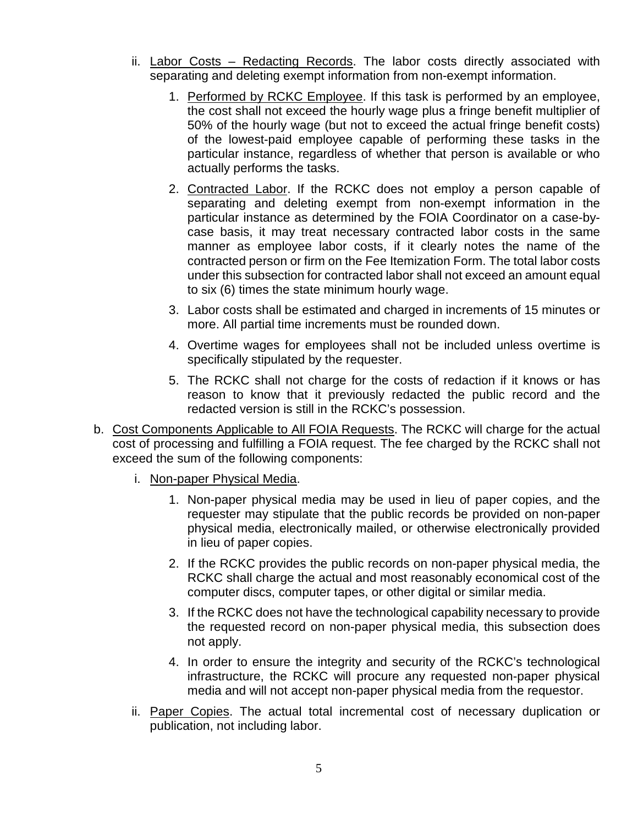- ii. Labor Costs Redacting Records. The labor costs directly associated with separating and deleting exempt information from non-exempt information.
	- 1. Performed by RCKC Employee. If this task is performed by an employee, the cost shall not exceed the hourly wage plus a fringe benefit multiplier of 50% of the hourly wage (but not to exceed the actual fringe benefit costs) of the lowest-paid employee capable of performing these tasks in the particular instance, regardless of whether that person is available or who actually performs the tasks.
	- 2. Contracted Labor. If the RCKC does not employ a person capable of separating and deleting exempt from non-exempt information in the particular instance as determined by the FOIA Coordinator on a case-bycase basis, it may treat necessary contracted labor costs in the same manner as employee labor costs, if it clearly notes the name of the contracted person or firm on the Fee Itemization Form. The total labor costs under this subsection for contracted labor shall not exceed an amount equal to six (6) times the state minimum hourly wage.
	- 3. Labor costs shall be estimated and charged in increments of 15 minutes or more. All partial time increments must be rounded down.
	- 4. Overtime wages for employees shall not be included unless overtime is specifically stipulated by the requester.
	- 5. The RCKC shall not charge for the costs of redaction if it knows or has reason to know that it previously redacted the public record and the redacted version is still in the RCKC's possession.
- b. Cost Components Applicable to All FOIA Requests. The RCKC will charge for the actual cost of processing and fulfilling a FOIA request. The fee charged by the RCKC shall not exceed the sum of the following components:
	- i. Non-paper Physical Media.
		- 1. Non-paper physical media may be used in lieu of paper copies, and the requester may stipulate that the public records be provided on non-paper physical media, electronically mailed, or otherwise electronically provided in lieu of paper copies.
		- 2. If the RCKC provides the public records on non-paper physical media, the RCKC shall charge the actual and most reasonably economical cost of the computer discs, computer tapes, or other digital or similar media.
		- 3. If the RCKC does not have the technological capability necessary to provide the requested record on non-paper physical media, this subsection does not apply.
		- 4. In order to ensure the integrity and security of the RCKC's technological infrastructure, the RCKC will procure any requested non-paper physical media and will not accept non-paper physical media from the requestor.
	- ii. Paper Copies. The actual total incremental cost of necessary duplication or publication, not including labor.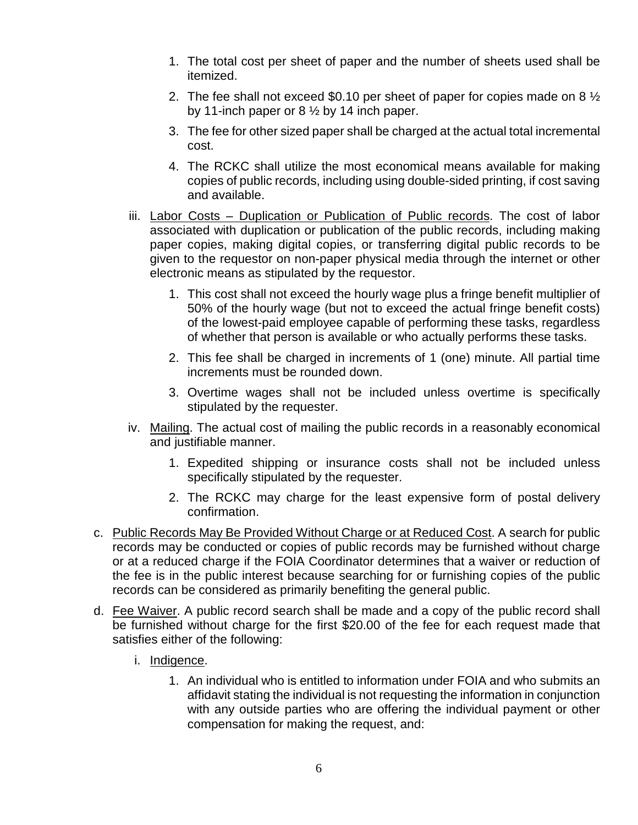- 1. The total cost per sheet of paper and the number of sheets used shall be itemized.
- 2. The fee shall not exceed \$0.10 per sheet of paper for copies made on 8  $\frac{1}{2}$ by 11-inch paper or 8 ½ by 14 inch paper.
- 3. The fee for other sized paper shall be charged at the actual total incremental cost.
- 4. The RCKC shall utilize the most economical means available for making copies of public records, including using double-sided printing, if cost saving and available.
- iii. Labor Costs Duplication or Publication of Public records. The cost of labor associated with duplication or publication of the public records, including making paper copies, making digital copies, or transferring digital public records to be given to the requestor on non-paper physical media through the internet or other electronic means as stipulated by the requestor.
	- 1. This cost shall not exceed the hourly wage plus a fringe benefit multiplier of 50% of the hourly wage (but not to exceed the actual fringe benefit costs) of the lowest-paid employee capable of performing these tasks, regardless of whether that person is available or who actually performs these tasks.
	- 2. This fee shall be charged in increments of 1 (one) minute. All partial time increments must be rounded down.
	- 3. Overtime wages shall not be included unless overtime is specifically stipulated by the requester.
- iv. Mailing. The actual cost of mailing the public records in a reasonably economical and justifiable manner.
	- 1. Expedited shipping or insurance costs shall not be included unless specifically stipulated by the requester.
	- 2. The RCKC may charge for the least expensive form of postal delivery confirmation.
- c. Public Records May Be Provided Without Charge or at Reduced Cost. A search for public records may be conducted or copies of public records may be furnished without charge or at a reduced charge if the FOIA Coordinator determines that a waiver or reduction of the fee is in the public interest because searching for or furnishing copies of the public records can be considered as primarily benefiting the general public.
- d. Fee Waiver. A public record search shall be made and a copy of the public record shall be furnished without charge for the first \$20.00 of the fee for each request made that satisfies either of the following:
	- i. Indigence.
		- 1. An individual who is entitled to information under FOIA and who submits an affidavit stating the individual is not requesting the information in conjunction with any outside parties who are offering the individual payment or other compensation for making the request, and: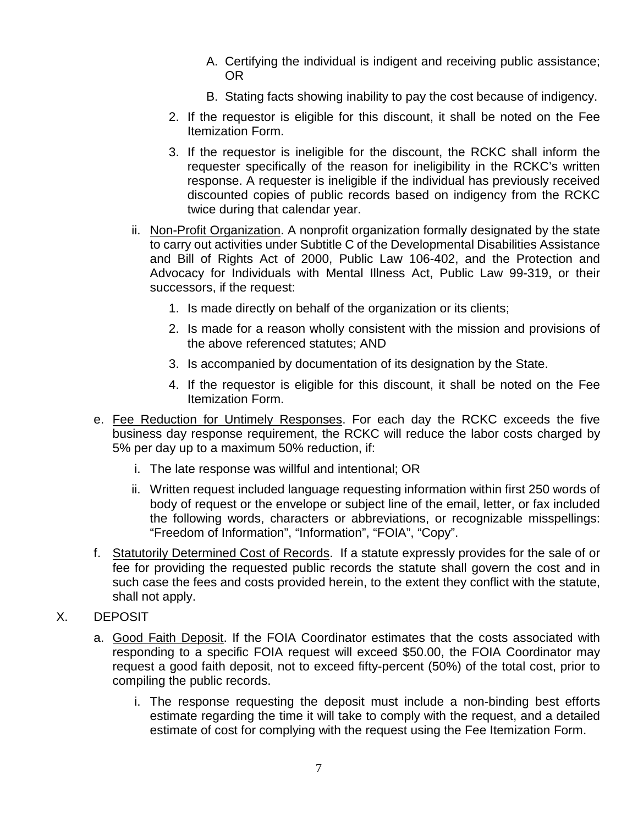- A. Certifying the individual is indigent and receiving public assistance; OR
- B. Stating facts showing inability to pay the cost because of indigency.
- 2. If the requestor is eligible for this discount, it shall be noted on the Fee Itemization Form.
- 3. If the requestor is ineligible for the discount, the RCKC shall inform the requester specifically of the reason for ineligibility in the RCKC's written response. A requester is ineligible if the individual has previously received discounted copies of public records based on indigency from the RCKC twice during that calendar year.
- ii. Non-Profit Organization. A nonprofit organization formally designated by the state to carry out activities under Subtitle C of the Developmental Disabilities Assistance and Bill of Rights Act of 2000, Public Law 106-402, and the Protection and Advocacy for Individuals with Mental Illness Act, Public Law 99-319, or their successors, if the request:
	- 1. Is made directly on behalf of the organization or its clients;
	- 2. Is made for a reason wholly consistent with the mission and provisions of the above referenced statutes; AND
	- 3. Is accompanied by documentation of its designation by the State.
	- 4. If the requestor is eligible for this discount, it shall be noted on the Fee Itemization Form.
- e. Fee Reduction for Untimely Responses. For each day the RCKC exceeds the five business day response requirement, the RCKC will reduce the labor costs charged by 5% per day up to a maximum 50% reduction, if:
	- i. The late response was willful and intentional; OR
	- ii. Written request included language requesting information within first 250 words of body of request or the envelope or subject line of the email, letter, or fax included the following words, characters or abbreviations, or recognizable misspellings: "Freedom of Information", "Information", "FOIA", "Copy".
- f. Statutorily Determined Cost of Records. If a statute expressly provides for the sale of or fee for providing the requested public records the statute shall govern the cost and in such case the fees and costs provided herein, to the extent they conflict with the statute, shall not apply.
- X. DEPOSIT
	- a. Good Faith Deposit. If the FOIA Coordinator estimates that the costs associated with responding to a specific FOIA request will exceed \$50.00, the FOIA Coordinator may request a good faith deposit, not to exceed fifty-percent (50%) of the total cost, prior to compiling the public records.
		- i. The response requesting the deposit must include a non-binding best efforts estimate regarding the time it will take to comply with the request, and a detailed estimate of cost for complying with the request using the Fee Itemization Form.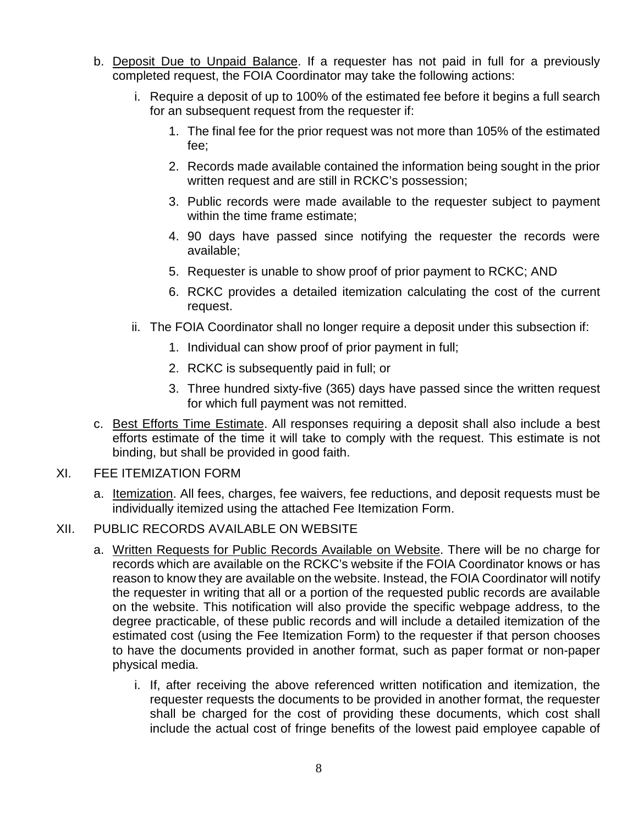- b. Deposit Due to Unpaid Balance. If a requester has not paid in full for a previously completed request, the FOIA Coordinator may take the following actions:
	- i. Require a deposit of up to 100% of the estimated fee before it begins a full search for an subsequent request from the requester if:
		- 1. The final fee for the prior request was not more than 105% of the estimated fee;
		- 2. Records made available contained the information being sought in the prior written request and are still in RCKC's possession;
		- 3. Public records were made available to the requester subject to payment within the time frame estimate;
		- 4. 90 days have passed since notifying the requester the records were available;
		- 5. Requester is unable to show proof of prior payment to RCKC; AND
		- 6. RCKC provides a detailed itemization calculating the cost of the current request.
	- ii. The FOIA Coordinator shall no longer require a deposit under this subsection if:
		- 1. Individual can show proof of prior payment in full;
		- 2. RCKC is subsequently paid in full; or
		- 3. Three hundred sixty-five (365) days have passed since the written request for which full payment was not remitted.
- c. Best Efforts Time Estimate. All responses requiring a deposit shall also include a best efforts estimate of the time it will take to comply with the request. This estimate is not binding, but shall be provided in good faith.

# XI. FEE ITEMIZATION FORM

a. Itemization. All fees, charges, fee waivers, fee reductions, and deposit requests must be individually itemized using the attached Fee Itemization Form.

# XII. PUBLIC RECORDS AVAILABLE ON WEBSITE

- a. Written Requests for Public Records Available on Website. There will be no charge for records which are available on the RCKC's website if the FOIA Coordinator knows or has reason to know they are available on the website. Instead, the FOIA Coordinator will notify the requester in writing that all or a portion of the requested public records are available on the website. This notification will also provide the specific webpage address, to the degree practicable, of these public records and will include a detailed itemization of the estimated cost (using the Fee Itemization Form) to the requester if that person chooses to have the documents provided in another format, such as paper format or non-paper physical media.
	- i. If, after receiving the above referenced written notification and itemization, the requester requests the documents to be provided in another format, the requester shall be charged for the cost of providing these documents, which cost shall include the actual cost of fringe benefits of the lowest paid employee capable of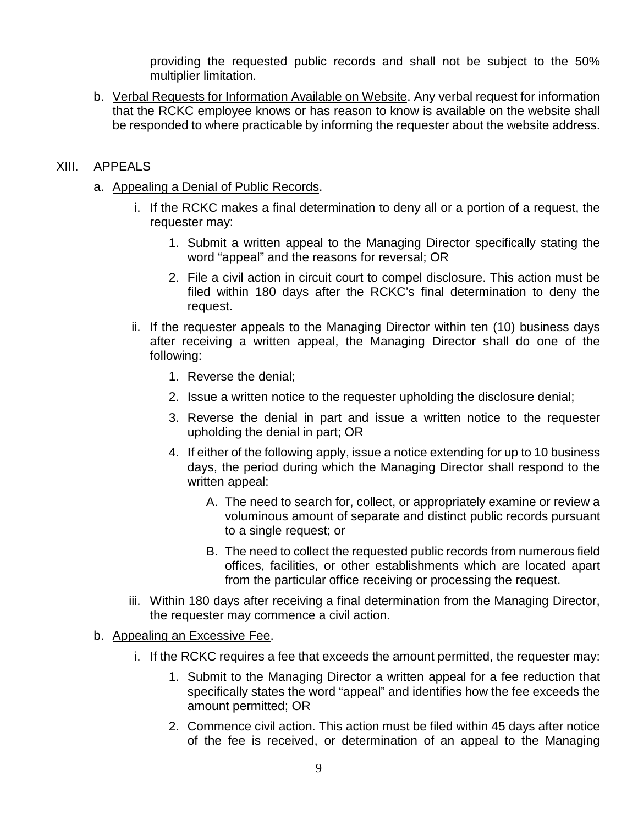providing the requested public records and shall not be subject to the 50% multiplier limitation.

- b. Verbal Requests for Information Available on Website. Any verbal request for information that the RCKC employee knows or has reason to know is available on the website shall be responded to where practicable by informing the requester about the website address.
- XIII. APPEALS
	- a. Appealing a Denial of Public Records.
		- i. If the RCKC makes a final determination to deny all or a portion of a request, the requester may:
			- 1. Submit a written appeal to the Managing Director specifically stating the word "appeal" and the reasons for reversal; OR
			- 2. File a civil action in circuit court to compel disclosure. This action must be filed within 180 days after the RCKC's final determination to deny the request.
		- ii. If the requester appeals to the Managing Director within ten (10) business days after receiving a written appeal, the Managing Director shall do one of the following:
			- 1. Reverse the denial;
			- 2. Issue a written notice to the requester upholding the disclosure denial;
			- 3. Reverse the denial in part and issue a written notice to the requester upholding the denial in part; OR
			- 4. If either of the following apply, issue a notice extending for up to 10 business days, the period during which the Managing Director shall respond to the written appeal:
				- A. The need to search for, collect, or appropriately examine or review a voluminous amount of separate and distinct public records pursuant to a single request; or
				- B. The need to collect the requested public records from numerous field offices, facilities, or other establishments which are located apart from the particular office receiving or processing the request.
		- iii. Within 180 days after receiving a final determination from the Managing Director, the requester may commence a civil action.
	- b. Appealing an Excessive Fee.
		- i. If the RCKC requires a fee that exceeds the amount permitted, the requester may:
			- 1. Submit to the Managing Director a written appeal for a fee reduction that specifically states the word "appeal" and identifies how the fee exceeds the amount permitted; OR
			- 2. Commence civil action. This action must be filed within 45 days after notice of the fee is received, or determination of an appeal to the Managing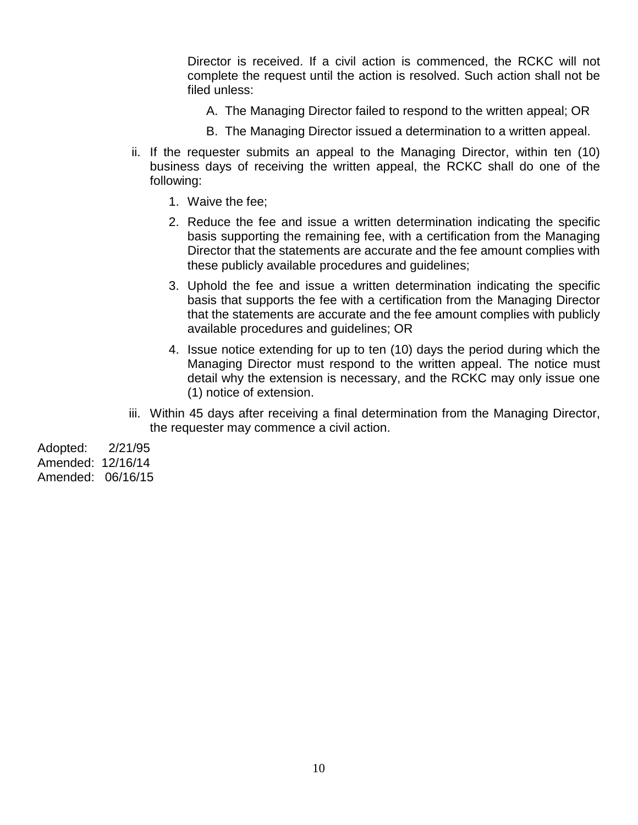Director is received. If a civil action is commenced, the RCKC will not complete the request until the action is resolved. Such action shall not be filed unless:

- A. The Managing Director failed to respond to the written appeal; OR
- B. The Managing Director issued a determination to a written appeal.
- ii. If the requester submits an appeal to the Managing Director, within ten (10) business days of receiving the written appeal, the RCKC shall do one of the following:
	- 1. Waive the fee;
	- 2. Reduce the fee and issue a written determination indicating the specific basis supporting the remaining fee, with a certification from the Managing Director that the statements are accurate and the fee amount complies with these publicly available procedures and guidelines;
	- 3. Uphold the fee and issue a written determination indicating the specific basis that supports the fee with a certification from the Managing Director that the statements are accurate and the fee amount complies with publicly available procedures and guidelines; OR
	- 4. Issue notice extending for up to ten (10) days the period during which the Managing Director must respond to the written appeal. The notice must detail why the extension is necessary, and the RCKC may only issue one (1) notice of extension.
- iii. Within 45 days after receiving a final determination from the Managing Director, the requester may commence a civil action.

Adopted: 2/21/95 Amended: 12/16/14 Amended: 06/16/15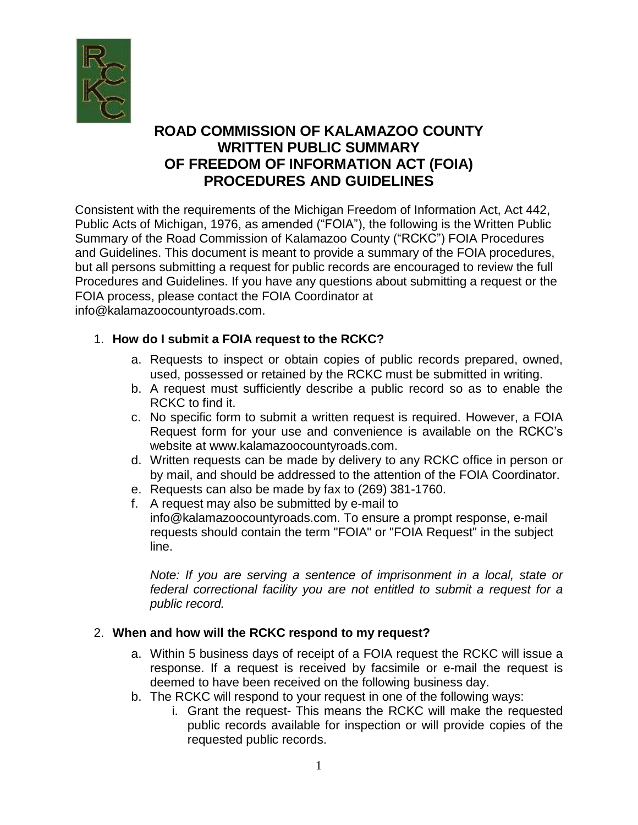

# **ROAD COMMISSION OF KALAMAZOO COUNTY WRITTEN PUBLIC SUMMARY OF FREEDOM OF INFORMATION ACT (FOIA) PROCEDURES AND GUIDELINES**

Consistent with the requirements of the Michigan Freedom of Information Act, Act 442, Public Acts of Michigan, 1976, as amended ("FOIA"), the following is the Written Public Summary of the Road Commission of Kalamazoo County ("RCKC") FOIA Procedures and Guidelines. This document is meant to provide a summary of the FOIA procedures, but all persons submitting a request for public records are encouraged to review the full Procedures and Guidelines. If you have any questions about submitting a request or the FOIA process, please contact the FOIA Coordinator a[t](mailto:info@kalamazoocountyroads.com) [info@kalamazoocountyroads.com.](mailto:info@kalamazoocountyroads.com)

# 1. **How do I submit a FOIA request to the RCKC?**

- a. Requests to inspect or obtain copies of public records prepared, owned, used, possessed or retained by the RCKC must be submitted in writing.
- b. A request must sufficiently describe a public record so as to enable the RCKC to find it.
- c. No specific form to submit a written request is required. However, a FOIA Request form for your use and convenience is available on the RCKC's website [at www.kalamazoocountyroads.com.](http://www.kalamazoocountyroads.com/)
- d. Written requests can be made by delivery to any RCKC office in person or by mail, and should be addressed to the attention of the FOIA Coordinator.
- e. Requests can also be made by fax to (269) 381-1760.
- f. A request may also be submitted by e-mail t[o](mailto:info@kalamazoocountyroads.com) [info@kalamazoocountyroads.com.](mailto:info@kalamazoocountyroads.com) To ensure a prompt response, e-mail requests should contain the term "FOIA" or "FOIA Request" in the subject line.

*Note: If you are serving a sentence of imprisonment in a local, state or federal correctional facility you are not entitled to submit a request for a public record.*

# 2. **When and how will the RCKC respond to my request?**

- a. Within 5 business days of receipt of a FOIA request the RCKC will issue a response. If a request is received by facsimile or e-mail the request is deemed to have been received on the following business day.
- b. The RCKC will respond to your request in one of the following ways:
	- i. Grant the request- This means the RCKC will make the requested public records available for inspection or will provide copies of the requested public records.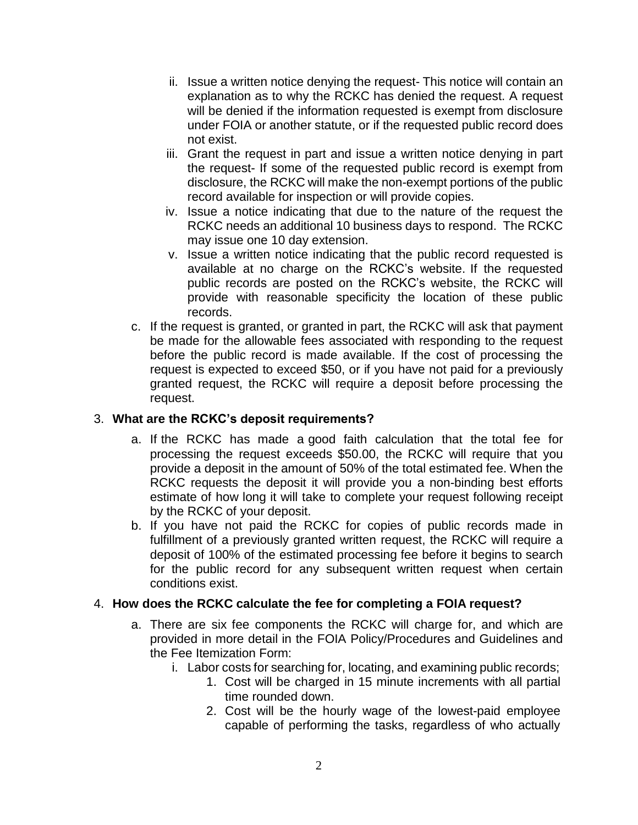- ii. Issue a written notice denying the request- This notice will contain an explanation as to why the RCKC has denied the request. A request will be denied if the information requested is exempt from disclosure under FOIA or another statute, or if the requested public record does not exist.
- iii. Grant the request in part and issue a written notice denying in part the request- If some of the requested public record is exempt from disclosure, the RCKC will make the non-exempt portions of the public record available for inspection or will provide copies.
- iv. Issue a notice indicating that due to the nature of the request the RCKC needs an additional 10 business days to respond. The RCKC may issue one 10 day extension.
- v. Issue a written notice indicating that the public record requested is available at no charge on the RCKC's website. If the requested public records are posted on the RCKC's website, the RCKC will provide with reasonable specificity the location of these public records.
- c. If the request is granted, or granted in part, the RCKC will ask that payment be made for the allowable fees associated with responding to the request before the public record is made available. If the cost of processing the request is expected to exceed \$50, or if you have not paid for a previously granted request, the RCKC will require a deposit before processing the request.

# 3. **What are the RCKC's deposit requirements?**

- a. If the RCKC has made a good faith calculation that the total fee for processing the request exceeds \$50.00, the RCKC will require that you provide a deposit in the amount of 50% of the total estimated fee. When the RCKC requests the deposit it will provide you a non-binding best efforts estimate of how long it will take to complete your request following receipt by the RCKC of your deposit.
- b. If you have not paid the RCKC for copies of public records made in fulfillment of a previously granted written request, the RCKC will require a deposit of 100% of the estimated processing fee before it begins to search for the public record for any subsequent written request when certain conditions exist.

# 4. **How does the RCKC calculate the fee for completing a FOIA request?**

- a. There are six fee components the RCKC will charge for, and which are provided in more detail in the FOIA Policy/Procedures and Guidelines and the Fee Itemization Form:
	- i. Labor costs for searching for, locating, and examining public records;
		- 1. Cost will be charged in 15 minute increments with all partial time rounded down.
		- 2. Cost will be the hourly wage of the lowest-paid employee capable of performing the tasks, regardless of who actually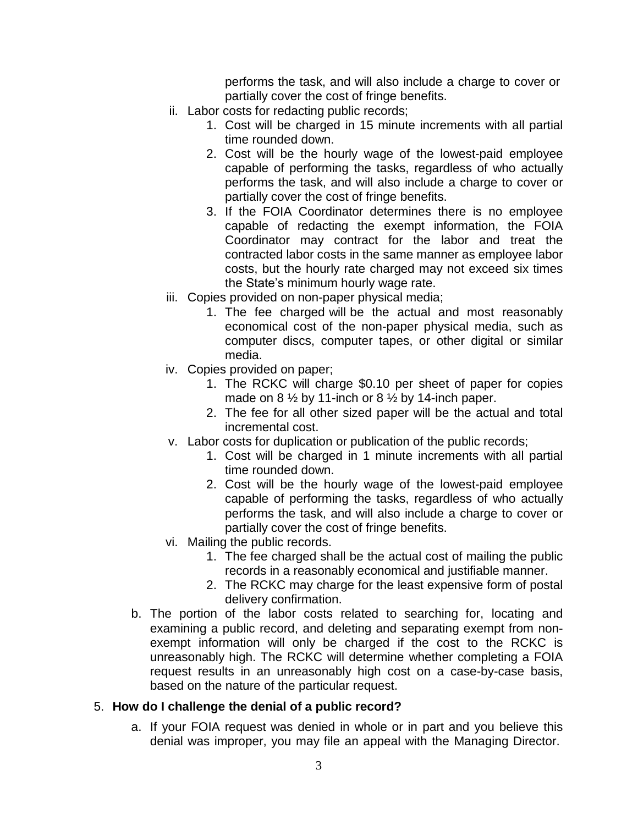performs the task, and will also include a charge to cover or partially cover the cost of fringe benefits.

- ii. Labor costs for redacting public records;
	- 1. Cost will be charged in 15 minute increments with all partial time rounded down.
	- 2. Cost will be the hourly wage of the lowest-paid employee capable of performing the tasks, regardless of who actually performs the task, and will also include a charge to cover or partially cover the cost of fringe benefits.
	- 3. If the FOIA Coordinator determines there is no employee capable of redacting the exempt information, the FOIA Coordinator may contract for the labor and treat the contracted labor costs in the same manner as employee labor costs, but the hourly rate charged may not exceed six times the State's minimum hourly wage rate.
- iii. Copies provided on non-paper physical media;
	- 1. The fee charged will be the actual and most reasonably economical cost of the non-paper physical media, such as computer discs, computer tapes, or other digital or similar media.
- iv. Copies provided on paper;
	- 1. The RCKC will charge \$0.10 per sheet of paper for copies made on  $8\frac{1}{2}$  by 11-inch or  $8\frac{1}{2}$  by 14-inch paper.
	- 2. The fee for all other sized paper will be the actual and total incremental cost.
- v. Labor costs for duplication or publication of the public records;
	- 1. Cost will be charged in 1 minute increments with all partial time rounded down.
	- 2. Cost will be the hourly wage of the lowest-paid employee capable of performing the tasks, regardless of who actually performs the task, and will also include a charge to cover or partially cover the cost of fringe benefits.
- vi. Mailing the public records.
	- 1. The fee charged shall be the actual cost of mailing the public records in a reasonably economical and justifiable manner.
	- 2. The RCKC may charge for the least expensive form of postal delivery confirmation.
- b. The portion of the labor costs related to searching for, locating and examining a public record, and deleting and separating exempt from nonexempt information will only be charged if the cost to the RCKC is unreasonably high. The RCKC will determine whether completing a FOIA request results in an unreasonably high cost on a case-by-case basis, based on the nature of the particular request.

# 5. **How do I challenge the denial of a public record?**

a. If your FOIA request was denied in whole or in part and you believe this denial was improper, you may file an appeal with the Managing Director.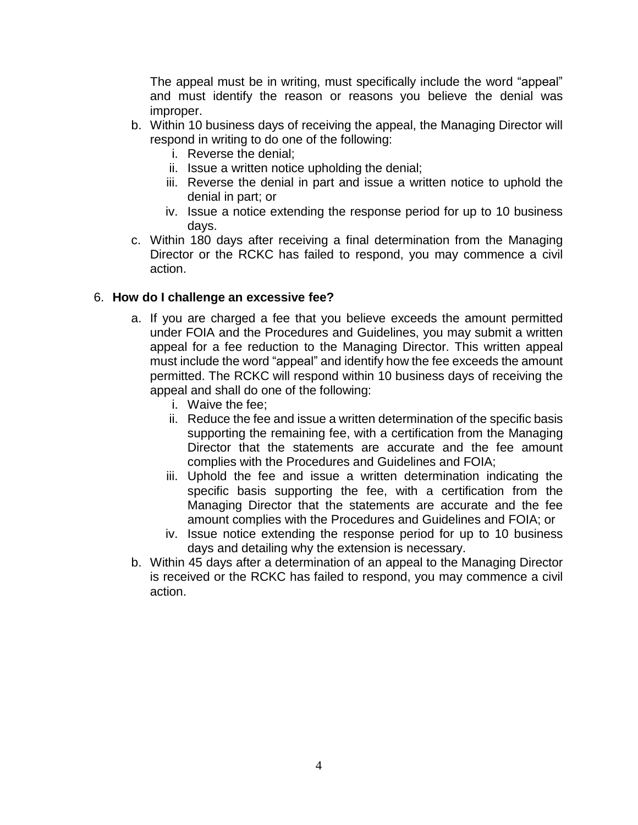The appeal must be in writing, must specifically include the word "appeal" and must identify the reason or reasons you believe the denial was improper.

- b. Within 10 business days of receiving the appeal, the Managing Director will respond in writing to do one of the following:
	- i. Reverse the denial;
	- ii. Issue a written notice upholding the denial;
	- iii. Reverse the denial in part and issue a written notice to uphold the denial in part; or
	- iv. Issue a notice extending the response period for up to 10 business days.
- c. Within 180 days after receiving a final determination from the Managing Director or the RCKC has failed to respond, you may commence a civil action.

# 6. **How do I challenge an excessive fee?**

- a. If you are charged a fee that you believe exceeds the amount permitted under FOIA and the Procedures and Guidelines, you may submit a written appeal for a fee reduction to the Managing Director. This written appeal must include the word "appeal" and identify how the fee exceeds the amount permitted. The RCKC will respond within 10 business days of receiving the appeal and shall do one of the following:
	- i. Waive the fee;
	- ii. Reduce the fee and issue a written determination of the specific basis supporting the remaining fee, with a certification from the Managing Director that the statements are accurate and the fee amount complies with the Procedures and Guidelines and FOIA;
	- iii. Uphold the fee and issue a written determination indicating the specific basis supporting the fee, with a certification from the Managing Director that the statements are accurate and the fee amount complies with the Procedures and Guidelines and FOIA; or
	- iv. Issue notice extending the response period for up to 10 business days and detailing why the extension is necessary.
- b. Within 45 days after a determination of an appeal to the Managing Director is received or the RCKC has failed to respond, you may commence a civil action.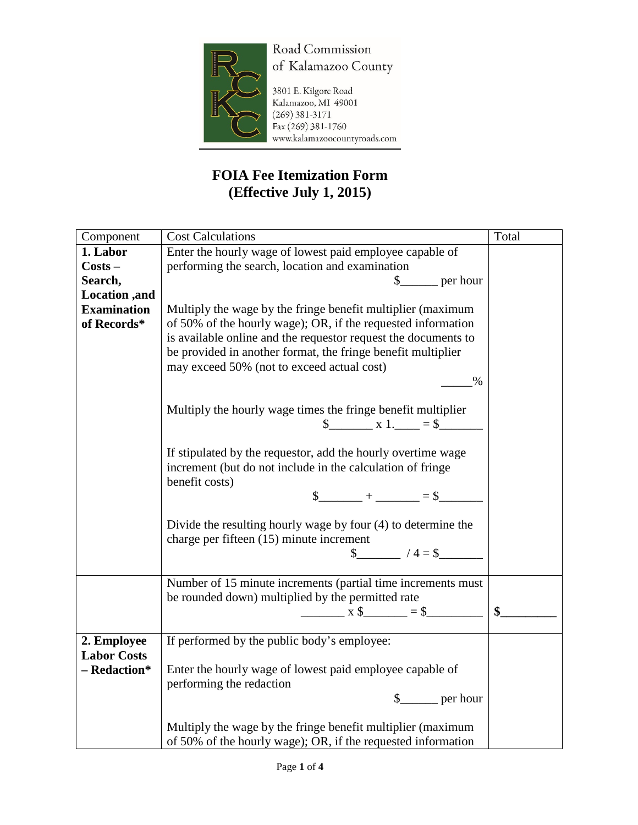

Road Commission of Kalamazoo County

3801 E. Kilgore Road<br>Kalamazoo, MI 49001  $(269)$  381-3171 Fax (269) 381-1760 www.kalamazoocountyroads.com

# **FOIA Fee Itemization Form (Effective July 1, 2015)**

| Component          | <b>Cost Calculations</b>                                          | Total             |
|--------------------|-------------------------------------------------------------------|-------------------|
| 1. Labor           | Enter the hourly wage of lowest paid employee capable of          |                   |
| $Costs -$          | performing the search, location and examination                   |                   |
| Search,            | $\frac{1}{2}$ per hour                                            |                   |
| Location ,and      |                                                                   |                   |
| <b>Examination</b> | Multiply the wage by the fringe benefit multiplier (maximum       |                   |
| of Records*        | of 50% of the hourly wage); OR, if the requested information      |                   |
|                    | is available online and the requestor request the documents to    |                   |
|                    | be provided in another format, the fringe benefit multiplier      |                   |
|                    | may exceed 50% (not to exceed actual cost)                        |                   |
|                    | $\%$                                                              |                   |
|                    |                                                                   |                   |
|                    | Multiply the hourly wage times the fringe benefit multiplier      |                   |
|                    | $\frac{\$$ x 1. $\_\_$ = \$                                       |                   |
|                    |                                                                   |                   |
|                    | If stipulated by the requestor, add the hourly overtime wage      |                   |
|                    | increment (but do not include in the calculation of fringe        |                   |
|                    | benefit costs)                                                    |                   |
|                    |                                                                   |                   |
|                    |                                                                   |                   |
|                    | Divide the resulting hourly wage by four (4) to determine the     |                   |
|                    | charge per fifteen (15) minute increment<br>$\frac{1}{2}$ /4 = \$ |                   |
|                    |                                                                   |                   |
|                    | Number of 15 minute increments (partial time increments must      |                   |
|                    | be rounded down) multiplied by the permitted rate                 |                   |
|                    | $x \text{ s}$ = \$                                                | $\boldsymbol{\$}$ |
|                    |                                                                   |                   |
| 2. Employee        | If performed by the public body's employee:                       |                   |
| <b>Labor Costs</b> |                                                                   |                   |
| - Redaction*       | Enter the hourly wage of lowest paid employee capable of          |                   |
|                    | performing the redaction                                          |                   |
|                    | $\frac{1}{2}$ per hour                                            |                   |
|                    |                                                                   |                   |
|                    | Multiply the wage by the fringe benefit multiplier (maximum       |                   |
|                    | of 50% of the hourly wage); OR, if the requested information      |                   |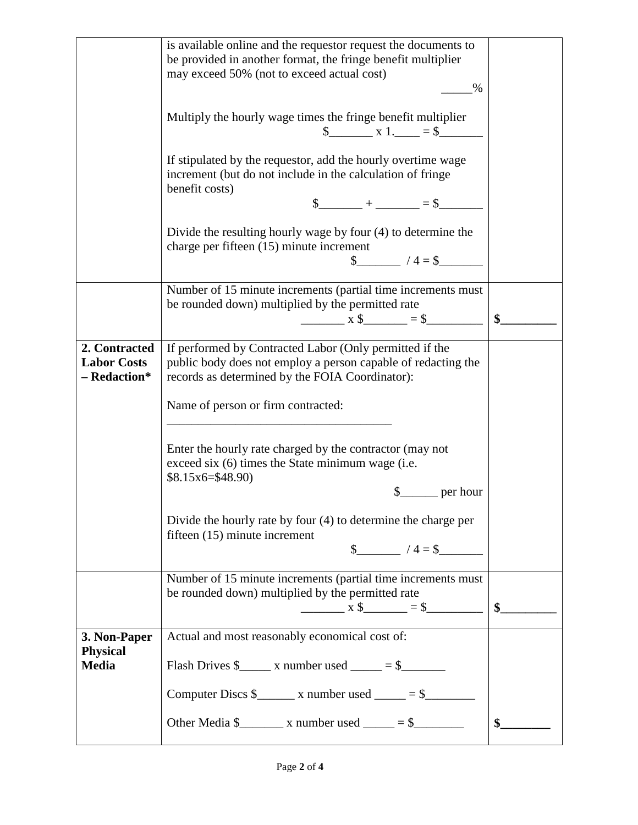|                    | is available online and the requestor request the documents to                                    |               |
|--------------------|---------------------------------------------------------------------------------------------------|---------------|
|                    | be provided in another format, the fringe benefit multiplier                                      |               |
|                    | may exceed 50% (not to exceed actual cost)                                                        |               |
|                    | $\frac{0}{0}$                                                                                     |               |
|                    |                                                                                                   |               |
|                    | Multiply the hourly wage times the fringe benefit multiplier                                      |               |
|                    | $\frac{\text{S}}{\text{S}}$ x 1. $\frac{\text{S}}{\text{S}}$ = \$                                 |               |
|                    |                                                                                                   |               |
|                    | If stipulated by the requestor, add the hourly overtime wage                                      |               |
|                    | increment (but do not include in the calculation of fringe                                        |               |
|                    | benefit costs)                                                                                    |               |
|                    | $\frac{1}{2} + \frac{1}{2} = \frac{1}{2}$                                                         |               |
|                    |                                                                                                   |               |
|                    | Divide the resulting hourly wage by four (4) to determine the                                     |               |
|                    | charge per fifteen (15) minute increment                                                          |               |
|                    | $\frac{1}{2}$ / 4 = \$                                                                            |               |
|                    |                                                                                                   |               |
|                    | Number of 15 minute increments (partial time increments must                                      |               |
|                    | be rounded down) multiplied by the permitted rate                                                 |               |
|                    | $x \text{ } \text{\&} \text{ } = \text{\&}$                                                       | \$            |
|                    |                                                                                                   |               |
| 2. Contracted      | If performed by Contracted Labor (Only permitted if the                                           |               |
| <b>Labor Costs</b> | public body does not employ a person capable of redacting the                                     |               |
| - Redaction*       | records as determined by the FOIA Coordinator):                                                   |               |
|                    |                                                                                                   |               |
|                    | Name of person or firm contracted:                                                                |               |
|                    |                                                                                                   |               |
|                    |                                                                                                   |               |
|                    | Enter the hourly rate charged by the contractor (may not                                          |               |
|                    | exceed six (6) times the State minimum wage (i.e.                                                 |               |
|                    | $$8.15x6 = $48.90$                                                                                |               |
|                    | $\frac{1}{2}$ per hour                                                                            |               |
|                    |                                                                                                   |               |
|                    | Divide the hourly rate by four $(4)$ to determine the charge per<br>fifteen (15) minute increment |               |
|                    |                                                                                                   |               |
|                    |                                                                                                   |               |
|                    | Number of 15 minute increments (partial time increments must                                      |               |
|                    | be rounded down) multiplied by the permitted rate                                                 |               |
|                    | $x$ \$ $=$ \$ $\qquad$                                                                            | $\sum$        |
|                    |                                                                                                   |               |
| 3. Non-Paper       | Actual and most reasonably economical cost of:                                                    |               |
| <b>Physical</b>    |                                                                                                   |               |
| <b>Media</b>       | Flash Drives $\frac{1}{2}$ x number used _____ = \$_______                                        |               |
|                    |                                                                                                   |               |
|                    | Computer Discs $\frac{1}{2}$ x number used _____ = \$_________                                    |               |
|                    |                                                                                                   |               |
|                    | Other Media $\frac{1}{2}$ x number used _____ = \$                                                | $\frac{1}{2}$ |
|                    |                                                                                                   |               |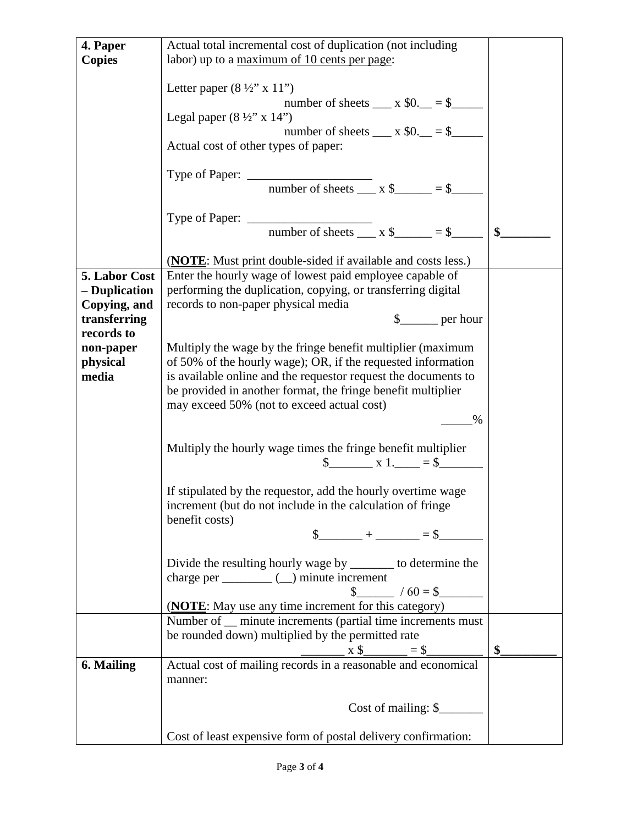| 4. Paper      | Actual total incremental cost of duplication (not including                                              |    |
|---------------|----------------------------------------------------------------------------------------------------------|----|
| <b>Copies</b> | labor) up to a <u>maximum of 10 cents</u> per page:                                                      |    |
|               |                                                                                                          |    |
|               | Letter paper $(8\frac{1}{2}$ " x 11")                                                                    |    |
|               | number of sheets $\_\_\ x \$ \$0. $\_\_\ = \$                                                            |    |
|               | Legal paper $(8\frac{1}{2}$ " x 14")                                                                     |    |
|               | number of sheets $\_\_\ x \$ \$0. $\_\_\ = \$                                                            |    |
|               | Actual cost of other types of paper:                                                                     |    |
|               |                                                                                                          |    |
|               |                                                                                                          |    |
|               | Type of Paper: $\frac{1}{\text{number of sheets}}$ x \$ $\frac{1}{\text{number of sheets}}$ = \$         |    |
|               |                                                                                                          |    |
|               |                                                                                                          |    |
|               | number of sheets $\overline{\phantom{a}}$ x \$ $\overline{\phantom{a}}$ = \$                             | \$ |
|               |                                                                                                          |    |
|               | ( <b>NOTE</b> : Must print double-sided if available and costs less.)                                    |    |
| 5. Labor Cost | Enter the hourly wage of lowest paid employee capable of                                                 |    |
| - Duplication | performing the duplication, copying, or transferring digital                                             |    |
| Copying, and  | records to non-paper physical media                                                                      |    |
| transferring  | $\frac{1}{2}$ per hour                                                                                   |    |
| records to    |                                                                                                          |    |
| non-paper     | Multiply the wage by the fringe benefit multiplier (maximum                                              |    |
| physical      | of 50% of the hourly wage); OR, if the requested information                                             |    |
| media         | is available online and the requestor request the documents to                                           |    |
|               | be provided in another format, the fringe benefit multiplier                                             |    |
|               | may exceed 50% (not to exceed actual cost)                                                               |    |
|               | $\%$                                                                                                     |    |
|               |                                                                                                          |    |
|               | Multiply the hourly wage times the fringe benefit multiplier                                             |    |
|               | $\frac{1}{2}$ x 1. $=$ $\frac{1}{2}$                                                                     |    |
|               |                                                                                                          |    |
|               | If stipulated by the requestor, add the hourly overtime wage                                             |    |
|               | increment (but do not include in the calculation of fringe                                               |    |
|               | benefit costs)                                                                                           |    |
|               | $\frac{1}{2} + \frac{1}{2} = \frac{1}{2}$                                                                |    |
|               | Divide the resulting hourly wage by ________ to determine the                                            |    |
|               | charge per $\_\_\_\_\_\_\_\_\$ ( $\_\)$ minute increment                                                 |    |
|               | $\frac{\$}{\$}$ / 60 = \$                                                                                |    |
|               | ( <b>NOTE</b> : May use any time increment for this category)                                            |    |
|               | Number of _ minute increments (partial time increments must                                              |    |
|               | be rounded down) multiplied by the permitted rate                                                        |    |
|               |                                                                                                          | \$ |
| 6. Mailing    | $x$ \$ $\_\_\_\_$ = \$ $\_\_\_\_\_\_\_$<br>Actual cost of mailing records in a reasonable and economical |    |
|               | manner:                                                                                                  |    |
|               |                                                                                                          |    |
|               | Cost of mailing: \$                                                                                      |    |
|               |                                                                                                          |    |
|               | Cost of least expensive form of postal delivery confirmation:                                            |    |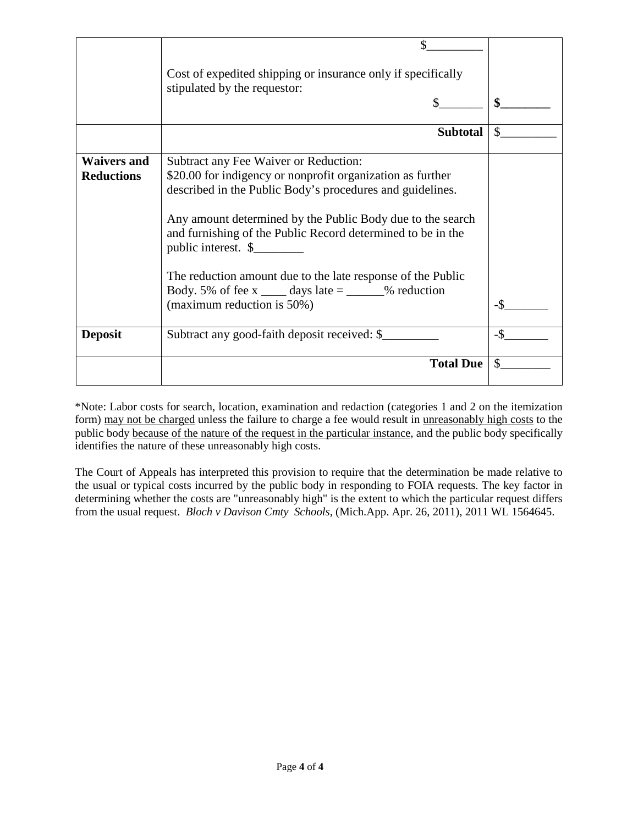|                                         | Cost of expedited shipping or insurance only if specifically<br>stipulated by the requestor:                                                                                                                                                                                                                                                                                                                                                                                         |  |
|-----------------------------------------|--------------------------------------------------------------------------------------------------------------------------------------------------------------------------------------------------------------------------------------------------------------------------------------------------------------------------------------------------------------------------------------------------------------------------------------------------------------------------------------|--|
|                                         | <b>Subtotal</b>                                                                                                                                                                                                                                                                                                                                                                                                                                                                      |  |
| <b>Waivers and</b><br><b>Reductions</b> | Subtract any Fee Waiver or Reduction:<br>\$20.00 for indigency or nonprofit organization as further<br>described in the Public Body's procedures and guidelines.<br>Any amount determined by the Public Body due to the search<br>and furnishing of the Public Record determined to be in the<br>public interest. \$<br>The reduction amount due to the late response of the Public<br>Body. 5% of fee x $\_\_\_\_$ days late = $\_\_\_\_$ % reduction<br>(maximum reduction is 50%) |  |
| <b>Deposit</b>                          | Subtract any good-faith deposit received: \$                                                                                                                                                                                                                                                                                                                                                                                                                                         |  |
|                                         | <b>Total Due</b>                                                                                                                                                                                                                                                                                                                                                                                                                                                                     |  |

\*Note: Labor costs for search, location, examination and redaction (categories 1 and 2 on the itemization form) may not be charged unless the failure to charge a fee would result in unreasonably high costs to the public body because of the nature of the request in the particular instance, and the public body specifically identifies the nature of these unreasonably high costs.

The Court of Appeals has interpreted this provision to require that the determination be made relative to the usual or typical costs incurred by the public body in responding to FOIA requests. The key factor in determining whether the costs are "unreasonably high" is the extent to which the particular request differs from the usual request. *Bloch v Davison Cmty Schools,* (Mich.App. Apr. 26, 2011), 2011 WL 1564645.